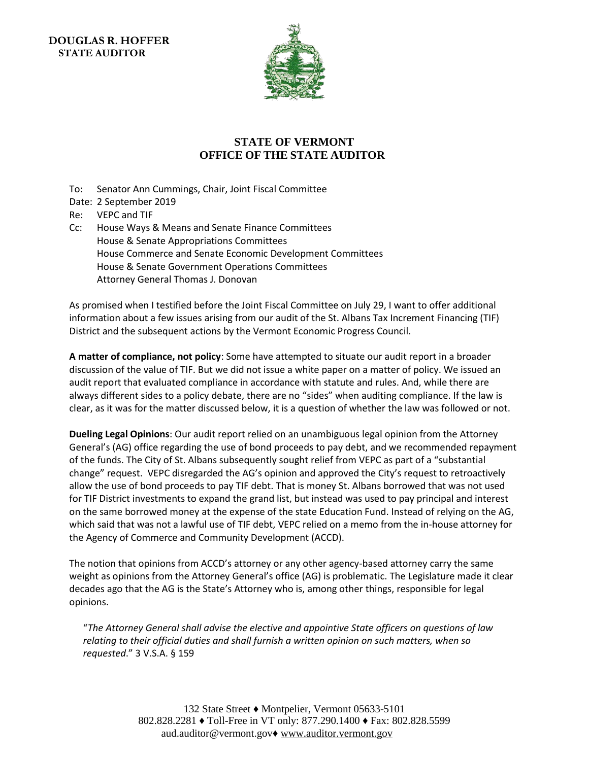**DOUGLAS R. HOFFER STATE AUDITOR** 



## **STATE OF VERMONT OFFICE OF THE STATE AUDITOR**

- To: Senator Ann Cummings, Chair, Joint Fiscal Committee
- Date: 2 September 2019
- Re: VEPC and TIF
- Cc: House Ways & Means and Senate Finance Committees House & Senate Appropriations Committees House Commerce and Senate Economic Development Committees House & Senate Government Operations Committees Attorney General Thomas J. Donovan

As promised when I testified before the Joint Fiscal Committee on July 29, I want to offer additional information about a few issues arising from our audit of the St. Albans Tax Increment Financing (TIF) District and the subsequent actions by the Vermont Economic Progress Council.

**A matter of compliance, not policy**: Some have attempted to situate our audit report in a broader discussion of the value of TIF. But we did not issue a white paper on a matter of policy. We issued an audit report that evaluated compliance in accordance with statute and rules. And, while there are always different sides to a policy debate, there are no "sides" when auditing compliance. If the law is clear, as it was for the matter discussed below, it is a question of whether the law was followed or not.

**Dueling Legal Opinions**: Our audit report relied on an unambiguous legal opinion from the Attorney General's (AG) office regarding the use of bond proceeds to pay debt, and we recommended repayment of the funds. The City of St. Albans subsequently sought relief from VEPC as part of a "substantial change" request. VEPC disregarded the AG's opinion and approved the City's request to retroactively allow the use of bond proceeds to pay TIF debt. That is money St. Albans borrowed that was not used for TIF District investments to expand the grand list, but instead was used to pay principal and interest on the same borrowed money at the expense of the state Education Fund. Instead of relying on the AG, which said that was not a lawful use of TIF debt, VEPC relied on a memo from the in-house attorney for the Agency of Commerce and Community Development (ACCD).

The notion that opinions from ACCD's attorney or any other agency-based attorney carry the same weight as opinions from the Attorney General's office (AG) is problematic. The Legislature made it clear decades ago that the AG is the State's Attorney who is, among other things, responsible for legal opinions.

"*The Attorney General shall advise the elective and appointive State officers on questions of law relating to their official duties and shall furnish a written opinion on such matters, when so requested*." 3 V.S.A. § 159

> 132 State Street ♦ Montpelier, Vermont 05633-5101 802.828.2281 ♦ Toll-Free in VT only: 877.290.1400 ♦ Fax: 802.828.5599 aud.auditor@vermont.gov♦ [www.auditor.vermont.gov](http://www.auditor.vermont.gov/)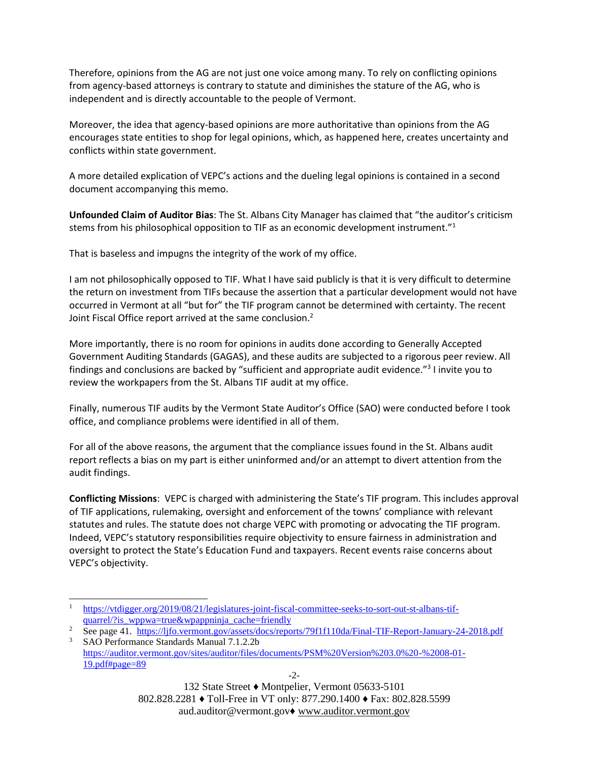Therefore, opinions from the AG are not just one voice among many. To rely on conflicting opinions from agency-based attorneys is contrary to statute and diminishes the stature of the AG, who is independent and is directly accountable to the people of Vermont.

Moreover, the idea that agency-based opinions are more authoritative than opinions from the AG encourages state entities to shop for legal opinions, which, as happened here, creates uncertainty and conflicts within state government.

A more detailed explication of VEPC's actions and the dueling legal opinions is contained in a second document accompanying this memo.

**Unfounded Claim of Auditor Bias**: The St. Albans City Manager has claimed that "the auditor's criticism stems from his philosophical opposition to TIF as an economic development instrument."<sup>1</sup>

That is baseless and impugns the integrity of the work of my office.

I am not philosophically opposed to TIF. What I have said publicly is that it is very difficult to determine the return on investment from TIFs because the assertion that a particular development would not have occurred in Vermont at all "but for" the TIF program cannot be determined with certainty. The recent Joint Fiscal Office report arrived at the same conclusion.<sup>2</sup>

More importantly, there is no room for opinions in audits done according to Generally Accepted Government Auditing Standards (GAGAS), and these audits are subjected to a rigorous peer review. All findings and conclusions are backed by "sufficient and appropriate audit evidence."<sup>3</sup> I invite you to review the workpapers from the St. Albans TIF audit at my office.

Finally, numerous TIF audits by the Vermont State Auditor's Office (SAO) were conducted before I took office, and compliance problems were identified in all of them.

For all of the above reasons, the argument that the compliance issues found in the St. Albans audit report reflects a bias on my part is either uninformed and/or an attempt to divert attention from the audit findings.

**Conflicting Missions**: VEPC is charged with administering the State's TIF program. This includes approval of TIF applications, rulemaking, oversight and enforcement of the towns' compliance with relevant statutes and rules. The statute does not charge VEPC with promoting or advocating the TIF program. Indeed, VEPC's statutory responsibilities require objectivity to ensure fairness in administration and oversight to protect the State's Education Fund and taxpayers. Recent events raise concerns about VEPC's objectivity.

1

[https://auditor.vermont.gov/sites/auditor/files/documents/PSM%20Version%203.0%20-%2008-01-](https://auditor.vermont.gov/sites/auditor/files/documents/PSM%20Version%203.0%20-%2008-01-19.pdf#page=89) [19.pdf#page=89](https://auditor.vermont.gov/sites/auditor/files/documents/PSM%20Version%203.0%20-%2008-01-19.pdf#page=89)

132 State Street ♦ Montpelier, Vermont 05633-5101 802.828.2281 ♦ Toll-Free in VT only: 877.290.1400 ♦ Fax: 802.828.5599 aud.auditor@vermont.gov♦ [www.auditor.vermont.gov](http://www.auditor.vermont.gov/)

<sup>1</sup> [https://vtdigger.org/2019/08/21/legislatures-joint-fiscal-committee-seeks-to-sort-out-st-albans-tif](https://vtdigger.org/2019/08/21/legislatures-joint-fiscal-committee-seeks-to-sort-out-st-albans-tif-quarrel/?is_wppwa=true&wpappninja_cache=friendly)[quarrel/?is\\_wppwa=true&wpappninja\\_cache=friendly](https://vtdigger.org/2019/08/21/legislatures-joint-fiscal-committee-seeks-to-sort-out-st-albans-tif-quarrel/?is_wppwa=true&wpappninja_cache=friendly)

<sup>&</sup>lt;sup>2</sup> See page 41. <https://ljfo.vermont.gov/assets/docs/reports/79f1f110da/Final-TIF-Report-January-24-2018.pdf> <sup>3</sup> SAO Performance Standards Manual 7.1.2.2b